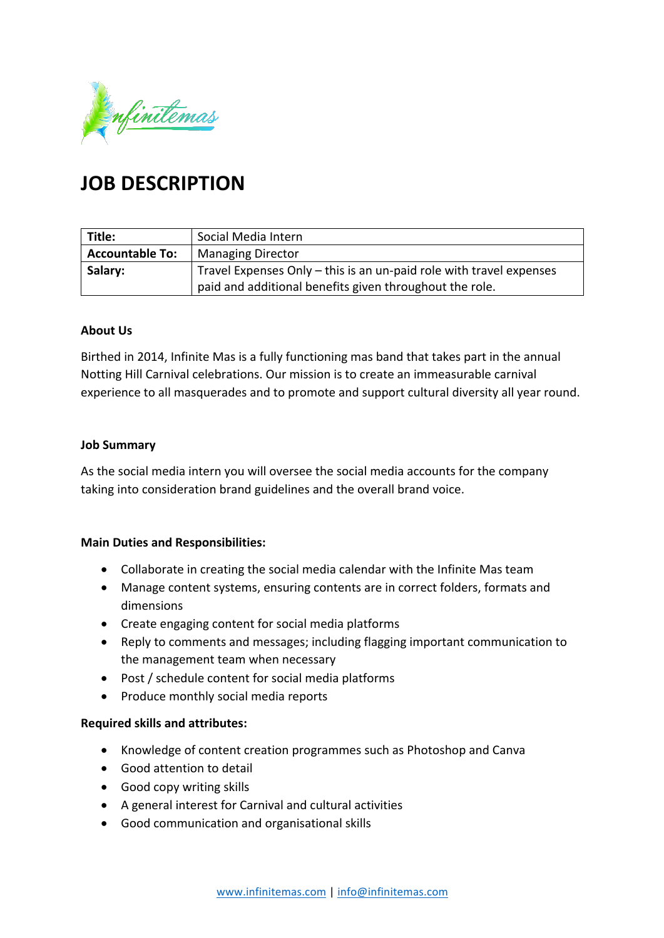

# **JOB DESCRIPTION**

| Title:                 | Social Media Intern                                                 |
|------------------------|---------------------------------------------------------------------|
| <b>Accountable To:</b> | <b>Managing Director</b>                                            |
| Salary:                | Travel Expenses Only – this is an un-paid role with travel expenses |
|                        | paid and additional benefits given throughout the role.             |

### **About Us**

Birthed in 2014, Infinite Mas is a fully functioning mas band that takes part in the annual Notting Hill Carnival celebrations. Our mission is to create an immeasurable carnival experience to all masquerades and to promote and support cultural diversity all year round.

#### **Job Summary**

As the social media intern you will oversee the social media accounts for the company taking into consideration brand guidelines and the overall brand voice.

### **Main Duties and Responsibilities:**

- Collaborate in creating the social media calendar with the Infinite Mas team
- Manage content systems, ensuring contents are in correct folders, formats and dimensions
- Create engaging content for social media platforms
- Reply to comments and messages; including flagging important communication to the management team when necessary
- Post / schedule content for social media platforms
- Produce monthly social media reports

### **Required skills and attributes:**

- Knowledge of content creation programmes such as Photoshop and Canva
- Good attention to detail
- Good copy writing skills
- A general interest for Carnival and cultural activities
- Good communication and organisational skills